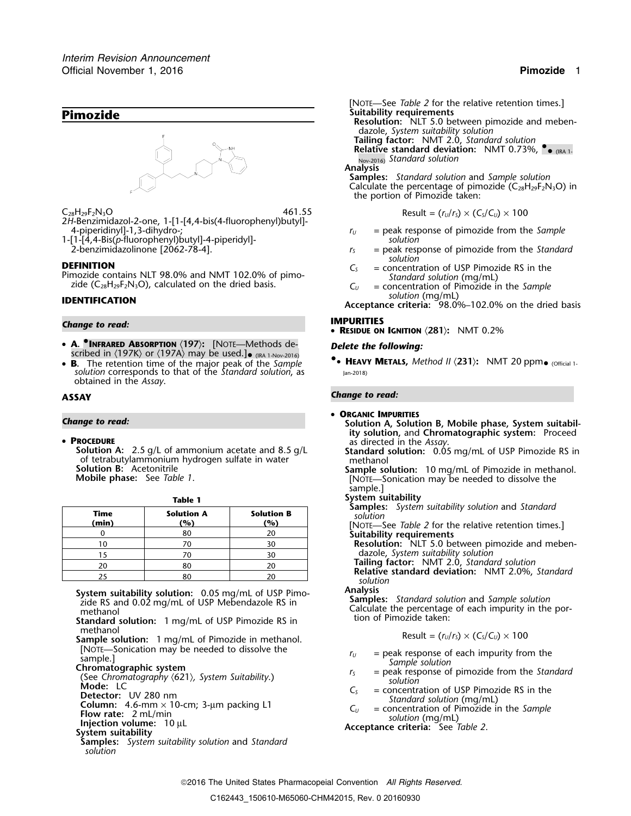

 $C_{28}H_{29}F_2N_3O$  **Result =**  $(r_0/r_5) \times (C_5/C_0) \times 100$ 2*H*-Benzimidazol-2-one, 1-[1-[4,4-bis(4-fluorophenyl)butyl]-

1-[1-[4,4-Bis(*p*-fluorophenyl)butyl]-4-piperidyl]- *solution*

Pozide contains NLT 98.0% and NMT 102.0% of pimo-<br> *Standard solution* (mg/mL) zide (C<sub>28</sub>H<sub>29</sub>F<sub>2</sub>N<sub>3</sub>O), calculated on the dried basis. *C<sub>U</sub>* = concentration of Pimozide in the *Sample*<br> **C**<sub>*U*</sub> = concentration of Pimo

# **IMPURITIES** *Change to read:* •

- **A. <sup>•</sup>INFRARED ABSORPTION**  $\langle 197 \rangle$ : [NOTE—Methods de-<br>scribed in  $\langle 197K \rangle$  or  $\langle 197A \rangle$  may be used.]• (IRA 1-Nov-2016)
- •*solution* corresponds to that of the *Standard solution*, as Jan-2018) obtained in the *Assay*.

- PROCEDURE
	- **Solution A:** 2.5 g/L of ammonium acetate and 8.5 g/L<br>
	of tetrabutylammonium hydrogen sulfate in water<br> **Sample solution:** 10 mg/mL of Pimozide in methanol<br> **Sample solution:** 10 mg/mL of Pimozide in methanol.

| <b>Samples:</b> System suitability solutio     |                          |                          |               |
|------------------------------------------------|--------------------------|--------------------------|---------------|
| solution<br>[NOTE-See Table 2 for the relative | <b>Solution B</b><br>(%) | <b>Solution A</b><br>(%) | Time<br>(min) |
| Suitability requirements                       | 20                       | 80                       |               |
| <b>Resolution:</b> NLT 5.0 between pi          | 30                       |                          |               |
| dazole, System suitability solution            | 30                       |                          |               |
| Tailing factor: NMT 2.0, Standa                | 20                       | 80                       | 20            |
| Relative standard deviation: NI                | n n                      | $\Omega$                 | n E           |

**Analysis**<br> **Analysis System suitability solution:** 0.05 mg/mL of USP Pimo-<br> **Samples:** *Standard solution* and *Sample solution*<br>
Calculate the percentage of each impurity in the<br>
methanol

- **Standard solution:** 1 mg/mL of USP Pimozide RS in methanol
- Sample solution: 1 mg/mL of Pimozide in methanol.<br>[NOTE—Sonication may be needed to dissolve the
- 
- 
- 
- 
- 
- 
- 
- **Samples:** *System suitability solution* and *Standard solution*

[NOTE—See *Table 2* for the relative retention times.] **Pimozide Pimozide Resolution:** Nuttability requirements<br>Resolution: NLT 5.0 between pimozide and mebendazole, *System suitability solution* **Tailing factor:** NMT 2.0, *Standard solution* **Relative standard deviation: NMT 0.73%,**  $\bullet$  **(IRA 1.** Nov-2016) *Standard solution* **Analysis Samples:** *Standard solution* and *Sample solution* Calculate the percentage of pimozide  $(C_{28}H_{29}F_2N_3O)$  in

$$
ext{Result} = (r_n/r_n) \times (C_n/C_n) \times 100
$$

- $r_U$  = peak response of pimozide from the *Sample*
- $r<sub>S</sub>$  = peak response of pimozide from the *Standard solution*
- **DEFINITION**<br>**Pimozide contains NLT 98.0% and NMT 102.0% of pimo-**<br>*C<sub>S</sub>* = concentration of USP Pimozide RS in the<br>*Standard solution (mg/ml)* 
	-

**IDENTIFICATION** Solution (mg/mL)<br>Acceptance criteria: 98.0%–102.0% on the dried basis

**RESIDUE ON IGNITION** 〈**281**〉**:** NMT 0.2%

the portion of Pimozide taken:

**<sup>B</sup>.** The retention time of the major peak of the *Sample* **•.**• **<sup>H</sup>EAVY METALS,** *Method II* 〈**231**〉**:** NMT 20 ppm• (Official 1-

### **ASSAY** *Change to read:*

- •**ORGANIC IMPURITIES**
- **Change to read: Solution A, Solution B, Mobile phase, System suitability solution,** and **Chromatographic system:** Proceed
	-
	- **Solution B:** Acetonitrile **Sample solution:** 10 mg/mL of Pimozide in methanol.<br>**Mobile phase:** See *Table 1*. **Interpretation may be needed to dissolve the Mobile phase:** See *Table 1*. sample.]

### **Table 1 System suitability**

**Samples:** *System suitability solution* and *Standard*

**(min) (%) (%)** [NOTE—See *Table 2* for the relative retention times.] <sup>0</sup> <sup>80</sup> <sup>20</sup> **Suitability requirements**

10 **10** 70 10 30 **Resolution:** NLT 5.0 between pimozide and meben-

**Tailing factor:** NMT 2.0, *Standard solution*<br>**Relative standard deviation:** NMT 2.0%, *Standard solution* 

Calculate the percentage of each impurity in the portion of Pimozide taken:

$$
Result = (r_{U}/r_{S}) \times (C_{S}/C_{U}) \times 100
$$

- 
- [NOTE—Sonication may be needed to dissolve the<br>
sample.]<br>
Chromatographic system<br>
Cheromatography (621), System Suitability.)<br>
Mode: LC<br>
Detector: UV 280 nm<br>
Column: 4.6-mm × 10-cm; 3-µm packing L1<br>
Ts = peak response of
	-
	-